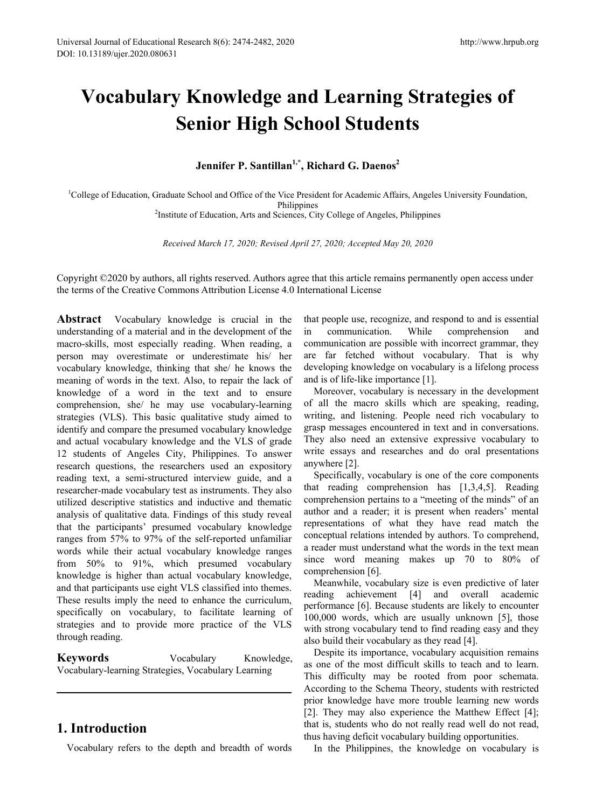# **Vocabulary Knowledge and Learning Strategies of Senior High School Students**

Jennifer P. Santillan<sup>1,\*</sup>, Richard G. Daenos<sup>2</sup>

<sup>1</sup>College of Education, Graduate School and Office of the Vice President for Academic Affairs, Angeles University Foundation, Philippines<br><sup>2</sup>Institute of Education, Arts and Sciences, City College of Angeles, Philippines<sup>2</sup>

*Received March 17, 2020; Revised April 27, 2020; Accepted May 20, 2020*

Copyright ©2020 by authors, all rights reserved. Authors agree that this article remains permanently open access under the terms of the Creative Commons Attribution License 4.0 International License

**Abstract** Vocabulary knowledge is crucial in the understanding of a material and in the development of the macro-skills, most especially reading. When reading, a person may overestimate or underestimate his/ her vocabulary knowledge, thinking that she/ he knows the meaning of words in the text. Also, to repair the lack of knowledge of a word in the text and to ensure comprehension, she/ he may use vocabulary-learning strategies (VLS). This basic qualitative study aimed to identify and compare the presumed vocabulary knowledge and actual vocabulary knowledge and the VLS of grade 12 students of Angeles City, Philippines. To answer research questions, the researchers used an expository reading text, a semi-structured interview guide, and a researcher-made vocabulary test as instruments. They also utilized descriptive statistics and inductive and thematic analysis of qualitative data. Findings of this study reveal that the participants' presumed vocabulary knowledge ranges from 57% to 97% of the self-reported unfamiliar words while their actual vocabulary knowledge ranges from 50% to 91%, which presumed vocabulary knowledge is higher than actual vocabulary knowledge, and that participants use eight VLS classified into themes. These results imply the need to enhance the curriculum, specifically on vocabulary, to facilitate learning of strategies and to provide more practice of the VLS through reading.

**Keywords** Vocabulary Knowledge, Vocabulary-learning Strategies, Vocabulary Learning

# **1. Introduction**

Vocabulary refers to the depth and breadth of words

that people use, recognize, and respond to and is essential in communication. While comprehension and communication are possible with incorrect grammar, they are far fetched without vocabulary. That is why developing knowledge on vocabulary is a lifelong process and is of life-like importance [1].

Moreover, vocabulary is necessary in the development of all the macro skills which are speaking, reading, writing, and listening. People need rich vocabulary to grasp messages encountered in text and in conversations. They also need an extensive expressive vocabulary to write essays and researches and do oral presentations anywhere [2].

Specifically, vocabulary is one of the core components that reading comprehension has [1,3,4,5]. Reading comprehension pertains to a "meeting of the minds" of an author and a reader; it is present when readers' mental representations of what they have read match the conceptual relations intended by authors. To comprehend, a reader must understand what the words in the text mean since word meaning makes up 70 to 80% of comprehension [6].

Meanwhile, vocabulary size is even predictive of later reading achievement [4] and overall academic performance [6]. Because students are likely to encounter 100,000 words, which are usually unknown [5], those with strong vocabulary tend to find reading easy and they also build their vocabulary as they read [4].

Despite its importance, vocabulary acquisition remains as one of the most difficult skills to teach and to learn. This difficulty may be rooted from poor schemata. According to the Schema Theory, students with restricted prior knowledge have more trouble learning new words [2]. They may also experience the Matthew Effect [4]; that is, students who do not really read well do not read, thus having deficit vocabulary building opportunities.

In the Philippines, the knowledge on vocabulary is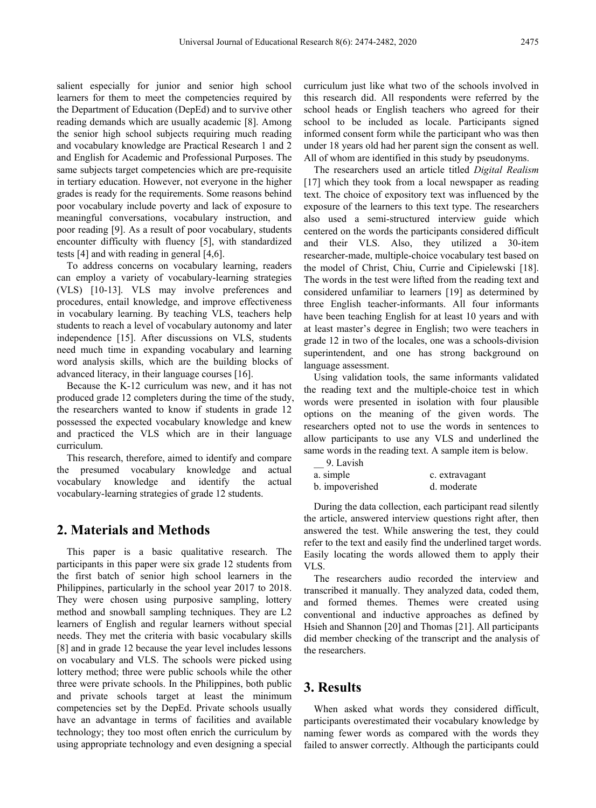salient especially for junior and senior high school learners for them to meet the competencies required by the Department of Education (DepEd) and to survive other reading demands which are usually academic [8]. Among the senior high school subjects requiring much reading and vocabulary knowledge are Practical Research 1 and 2 and English for Academic and Professional Purposes. The same subjects target competencies which are pre-requisite in tertiary education. However, not everyone in the higher grades is ready for the requirements. Some reasons behind poor vocabulary include poverty and lack of exposure to meaningful conversations, vocabulary instruction, and poor reading [9]. As a result of poor vocabulary, students encounter difficulty with fluency [5], with standardized tests [4] and with reading in general [4,6].

To address concerns on vocabulary learning, readers can employ a variety of vocabulary-learning strategies (VLS) [10-13]. VLS may involve preferences and procedures, entail knowledge, and improve effectiveness in vocabulary learning. By teaching VLS, teachers help students to reach a level of vocabulary autonomy and later independence [15]. After discussions on VLS, students need much time in expanding vocabulary and learning word analysis skills, which are the building blocks of advanced literacy, in their language courses [16].

Because the K-12 curriculum was new, and it has not produced grade 12 completers during the time of the study, the researchers wanted to know if students in grade 12 possessed the expected vocabulary knowledge and knew and practiced the VLS which are in their language curriculum.

This research, therefore, aimed to identify and compare the presumed vocabulary knowledge and actual vocabulary knowledge and identify the actual vocabulary-learning strategies of grade 12 students.

## **2. Materials and Methods**

This paper is a basic qualitative research. The participants in this paper were six grade 12 students from the first batch of senior high school learners in the Philippines, particularly in the school year 2017 to 2018. They were chosen using purposive sampling, lottery method and snowball sampling techniques. They are L2 learners of English and regular learners without special needs. They met the criteria with basic vocabulary skills [8] and in grade 12 because the year level includes lessons on vocabulary and VLS. The schools were picked using lottery method; three were public schools while the other three were private schools. In the Philippines, both public and private schools target at least the minimum competencies set by the DepEd. Private schools usually have an advantage in terms of facilities and available technology; they too most often enrich the curriculum by using appropriate technology and even designing a special

curriculum just like what two of the schools involved in this research did. All respondents were referred by the school heads or English teachers who agreed for their school to be included as locale. Participants signed informed consent form while the participant who was then under 18 years old had her parent sign the consent as well. All of whom are identified in this study by pseudonyms.

The researchers used an article titled *Digital Realism* [17] which they took from a local newspaper as reading text. The choice of expository text was influenced by the exposure of the learners to this text type. The researchers also used a semi-structured interview guide which centered on the words the participants considered difficult and their VLS. Also, they utilized a 30-item researcher-made, multiple-choice vocabulary test based on the model of Christ, Chiu, Currie and Cipielewski [18]. The words in the test were lifted from the reading text and considered unfamiliar to learners [19] as determined by three English teacher-informants. All four informants have been teaching English for at least 10 years and with at least master's degree in English; two were teachers in grade 12 in two of the locales, one was a schools-division superintendent, and one has strong background on language assessment.

Using validation tools, the same informants validated the reading text and the multiple-choice test in which words were presented in isolation with four plausible options on the meaning of the given words. The researchers opted not to use the words in sentences to allow participants to use any VLS and underlined the same words in the reading text. A sample item is below.

| 9. Lavish       |                |
|-----------------|----------------|
| a. simple       | c. extravagant |
| b. impoverished | d. moderate    |

During the data collection, each participant read silently the article, answered interview questions right after, then answered the test. While answering the test, they could refer to the text and easily find the underlined target words. Easily locating the words allowed them to apply their VLS.

The researchers audio recorded the interview and transcribed it manually. They analyzed data, coded them, and formed themes. Themes were created using conventional and inductive approaches as defined by Hsieh and Shannon [20] and Thomas [21]. All participants did member checking of the transcript and the analysis of the researchers.

# **3. Results**

When asked what words they considered difficult, participants overestimated their vocabulary knowledge by naming fewer words as compared with the words they failed to answer correctly. Although the participants could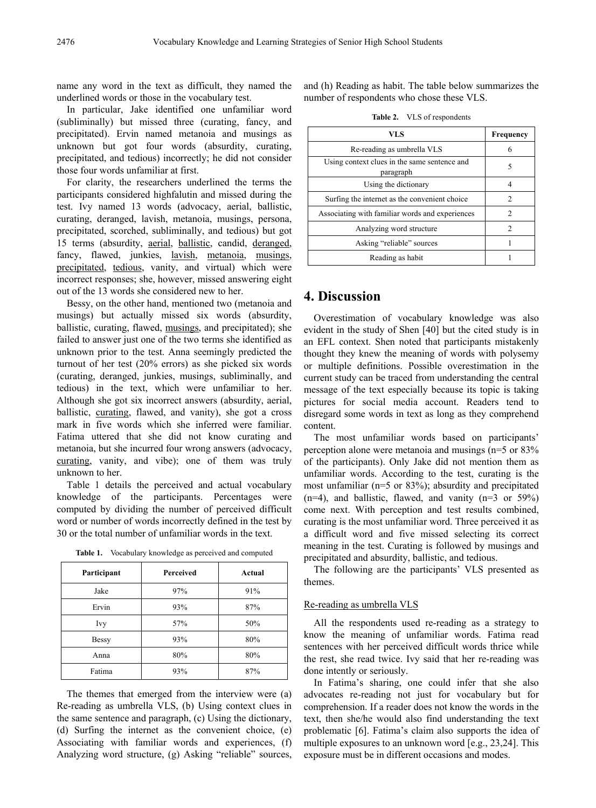name any word in the text as difficult, they named the underlined words or those in the vocabulary test.

In particular, Jake identified one unfamiliar word (subliminally) but missed three (curating, fancy, and precipitated). Ervin named metanoia and musings as unknown but got four words (absurdity, curating, precipitated, and tedious) incorrectly; he did not consider those four words unfamiliar at first.

For clarity, the researchers underlined the terms the participants considered highfalutin and missed during the test. Ivy named 13 words (advocacy, aerial, ballistic, curating, deranged, lavish, metanoia, musings, persona, precipitated, scorched, subliminally, and tedious) but got 15 terms (absurdity, aerial, ballistic, candid, deranged, fancy, flawed, junkies, lavish, metanoia, musings, precipitated, tedious, vanity, and virtual) which were incorrect responses; she, however, missed answering eight out of the 13 words she considered new to her.

Bessy, on the other hand, mentioned two (metanoia and musings) but actually missed six words (absurdity, ballistic, curating, flawed, musings, and precipitated); she failed to answer just one of the two terms she identified as unknown prior to the test. Anna seemingly predicted the turnout of her test (20% errors) as she picked six words (curating, deranged, junkies, musings, subliminally, and tedious) in the text, which were unfamiliar to her. Although she got six incorrect answers (absurdity, aerial, ballistic, curating, flawed, and vanity), she got a cross mark in five words which she inferred were familiar. Fatima uttered that she did not know curating and metanoia, but she incurred four wrong answers (advocacy, curating, vanity, and vibe); one of them was truly unknown to her.

Table 1 details the perceived and actual vocabulary knowledge of the participants. Percentages were computed by dividing the number of perceived difficult word or number of words incorrectly defined in the test by 30 or the total number of unfamiliar words in the text.

| Participant  | <b>Perceived</b> | Actual |
|--------------|------------------|--------|
| Jake         | 97%              | 91%    |
| Ervin        | 93%              | 87%    |
| Ivy          | 57%              | 50%    |
| <b>Bessy</b> | 93%              | 80%    |
| Anna         | 80%              | 80%    |
| Fatima       | 93%              | 87%    |

**Table 1.** Vocabulary knowledge as perceived and computed

The themes that emerged from the interview were (a) Re-reading as umbrella VLS, (b) Using context clues in the same sentence and paragraph, (c) Using the dictionary, (d) Surfing the internet as the convenient choice, (e) Associating with familiar words and experiences, (f) Analyzing word structure, (g) Asking "reliable" sources,

and (h) Reading as habit. The table below summarizes the number of respondents who chose these VLS.

**Table 2.** VLS of respondents

| VLS                                                       | Frequency      |
|-----------------------------------------------------------|----------------|
| Re-reading as umbrella VLS                                | 6              |
| Using context clues in the same sentence and<br>paragraph | 5              |
| Using the dictionary                                      | 4              |
| Surfing the internet as the convenient choice             | 2              |
| Associating with familiar words and experiences           | 2              |
| Analyzing word structure                                  | $\mathfrak{D}$ |
| Asking "reliable" sources                                 |                |
| Reading as habit                                          |                |

## **4. Discussion**

Overestimation of vocabulary knowledge was also evident in the study of Shen [40] but the cited study is in an EFL context. Shen noted that participants mistakenly thought they knew the meaning of words with polysemy or multiple definitions. Possible overestimation in the current study can be traced from understanding the central message of the text especially because its topic is taking pictures for social media account. Readers tend to disregard some words in text as long as they comprehend content.

The most unfamiliar words based on participants' perception alone were metanoia and musings (n=5 or 83% of the participants). Only Jake did not mention them as unfamiliar words. According to the test, curating is the most unfamiliar (n=5 or 83%); absurdity and precipitated  $(n=4)$ , and ballistic, flawed, and vanity  $(n=3 \text{ or } 59\%)$ come next. With perception and test results combined, curating is the most unfamiliar word. Three perceived it as a difficult word and five missed selecting its correct meaning in the test. Curating is followed by musings and precipitated and absurdity, ballistic, and tedious.

The following are the participants' VLS presented as themes.

#### Re-reading as umbrella VLS

All the respondents used re-reading as a strategy to know the meaning of unfamiliar words. Fatima read sentences with her perceived difficult words thrice while the rest, she read twice. Ivy said that her re-reading was done intently or seriously.

In Fatima's sharing, one could infer that she also advocates re-reading not just for vocabulary but for comprehension. If a reader does not know the words in the text, then she/he would also find understanding the text problematic [6]. Fatima's claim also supports the idea of multiple exposures to an unknown word [e.g., 23,24]. This exposure must be in different occasions and modes.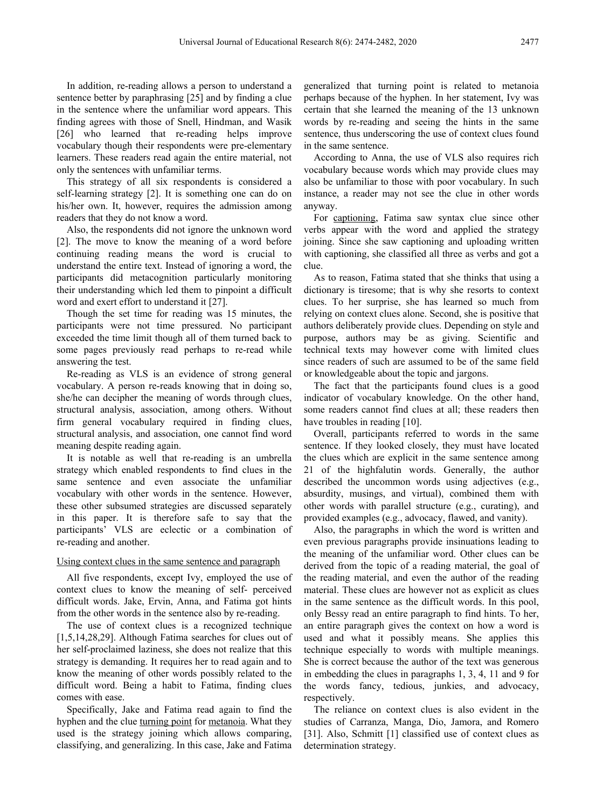In addition, re-reading allows a person to understand a sentence better by paraphrasing [25] and by finding a clue in the sentence where the unfamiliar word appears. This finding agrees with those of Snell, Hindman, and Wasik [26] who learned that re-reading helps improve vocabulary though their respondents were pre-elementary learners. These readers read again the entire material, not only the sentences with unfamiliar terms.

This strategy of all six respondents is considered a self-learning strategy [2]. It is something one can do on his/her own. It, however, requires the admission among readers that they do not know a word.

Also, the respondents did not ignore the unknown word [2]. The move to know the meaning of a word before continuing reading means the word is crucial to understand the entire text. Instead of ignoring a word, the participants did metacognition particularly monitoring their understanding which led them to pinpoint a difficult word and exert effort to understand it [27].

Though the set time for reading was 15 minutes, the participants were not time pressured. No participant exceeded the time limit though all of them turned back to some pages previously read perhaps to re-read while answering the test.

Re-reading as VLS is an evidence of strong general vocabulary. A person re-reads knowing that in doing so, she/he can decipher the meaning of words through clues, structural analysis, association, among others. Without firm general vocabulary required in finding clues, structural analysis, and association, one cannot find word meaning despite reading again.

It is notable as well that re-reading is an umbrella strategy which enabled respondents to find clues in the same sentence and even associate the unfamiliar vocabulary with other words in the sentence. However, these other subsumed strategies are discussed separately in this paper. It is therefore safe to say that the participants' VLS are eclectic or a combination of re-reading and another.

#### Using context clues in the same sentence and paragraph

All five respondents, except Ivy, employed the use of context clues to know the meaning of self- perceived difficult words. Jake, Ervin, Anna, and Fatima got hints from the other words in the sentence also by re-reading.

The use of context clues is a recognized technique [1,5,14,28,29]. Although Fatima searches for clues out of her self-proclaimed laziness, she does not realize that this strategy is demanding. It requires her to read again and to know the meaning of other words possibly related to the difficult word. Being a habit to Fatima, finding clues comes with ease.

Specifically, Jake and Fatima read again to find the hyphen and the clue turning point for metanoia. What they used is the strategy joining which allows comparing, classifying, and generalizing. In this case, Jake and Fatima

generalized that turning point is related to metanoia perhaps because of the hyphen. In her statement, Ivy was certain that she learned the meaning of the 13 unknown words by re-reading and seeing the hints in the same sentence, thus underscoring the use of context clues found in the same sentence.

According to Anna, the use of VLS also requires rich vocabulary because words which may provide clues may also be unfamiliar to those with poor vocabulary. In such instance, a reader may not see the clue in other words anyway.

For captioning, Fatima saw syntax clue since other verbs appear with the word and applied the strategy joining. Since she saw captioning and uploading written with captioning, she classified all three as verbs and got a clue.

As to reason, Fatima stated that she thinks that using a dictionary is tiresome; that is why she resorts to context clues. To her surprise, she has learned so much from relying on context clues alone. Second, she is positive that authors deliberately provide clues. Depending on style and purpose, authors may be as giving. Scientific and technical texts may however come with limited clues since readers of such are assumed to be of the same field or knowledgeable about the topic and jargons.

The fact that the participants found clues is a good indicator of vocabulary knowledge. On the other hand, some readers cannot find clues at all; these readers then have troubles in reading [10].

Overall, participants referred to words in the same sentence. If they looked closely, they must have located the clues which are explicit in the same sentence among 21 of the highfalutin words. Generally, the author described the uncommon words using adjectives (e.g., absurdity, musings, and virtual), combined them with other words with parallel structure (e.g., curating), and provided examples (e.g., advocacy, flawed, and vanity).

Also, the paragraphs in which the word is written and even previous paragraphs provide insinuations leading to the meaning of the unfamiliar word. Other clues can be derived from the topic of a reading material, the goal of the reading material, and even the author of the reading material. These clues are however not as explicit as clues in the same sentence as the difficult words. In this pool, only Bessy read an entire paragraph to find hints. To her, an entire paragraph gives the context on how a word is used and what it possibly means. She applies this technique especially to words with multiple meanings. She is correct because the author of the text was generous in embedding the clues in paragraphs 1, 3, 4, 11 and 9 for the words fancy, tedious, junkies, and advocacy, respectively.

The reliance on context clues is also evident in the studies of Carranza, Manga, Dio, Jamora, and Romero [31]. Also, Schmitt [1] classified use of context clues as determination strategy.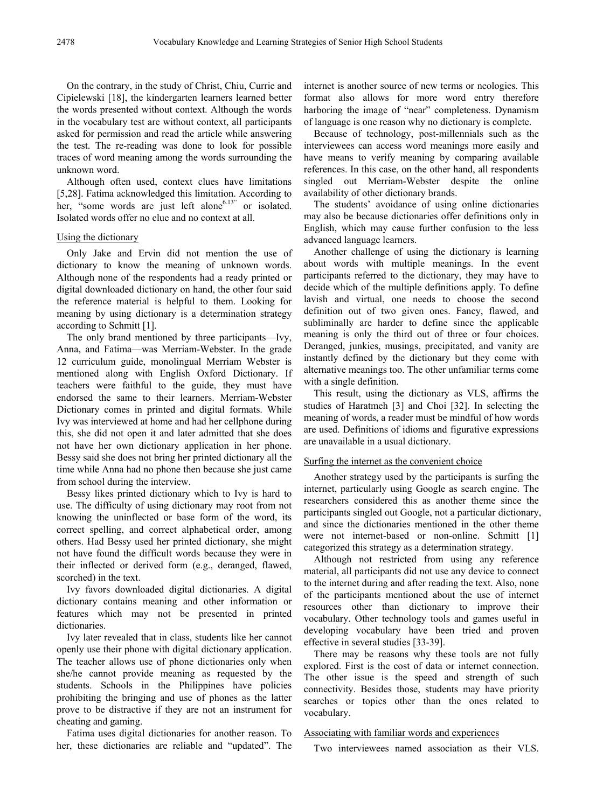On the contrary, in the study of Christ, Chiu, Currie and Cipielewski [18], the kindergarten learners learned better the words presented without context. Although the words in the vocabulary test are without context, all participants asked for permission and read the article while answering the test. The re-reading was done to look for possible traces of word meaning among the words surrounding the unknown word.

Although often used, context clues have limitations [5,28]. Fatima acknowledged this limitation. According to her, "some words are just left alone<sup>6.13"</sup> or isolated. Isolated words offer no clue and no context at all.

#### Using the dictionary

Only Jake and Ervin did not mention the use of dictionary to know the meaning of unknown words. Although none of the respondents had a ready printed or digital downloaded dictionary on hand, the other four said the reference material is helpful to them. Looking for meaning by using dictionary is a determination strategy according to Schmitt [1].

The only brand mentioned by three participants—Ivy, Anna, and Fatima—was Merriam-Webster. In the grade 12 curriculum guide, monolingual Merriam Webster is mentioned along with English Oxford Dictionary. If teachers were faithful to the guide, they must have endorsed the same to their learners. Merriam-Webster Dictionary comes in printed and digital formats. While Ivy was interviewed at home and had her cellphone during this, she did not open it and later admitted that she does not have her own dictionary application in her phone. Bessy said she does not bring her printed dictionary all the time while Anna had no phone then because she just came from school during the interview.

Bessy likes printed dictionary which to Ivy is hard to use. The difficulty of using dictionary may root from not knowing the uninflected or base form of the word, its correct spelling, and correct alphabetical order, among others. Had Bessy used her printed dictionary, she might not have found the difficult words because they were in their inflected or derived form (e.g., deranged, flawed, scorched) in the text.

Ivy favors downloaded digital dictionaries. A digital dictionary contains meaning and other information or features which may not be presented in printed dictionaries.

Ivy later revealed that in class, students like her cannot openly use their phone with digital dictionary application. The teacher allows use of phone dictionaries only when she/he cannot provide meaning as requested by the students. Schools in the Philippines have policies prohibiting the bringing and use of phones as the latter prove to be distractive if they are not an instrument for cheating and gaming.

Fatima uses digital dictionaries for another reason. To her, these dictionaries are reliable and "updated". The internet is another source of new terms or neologies. This format also allows for more word entry therefore harboring the image of "near" completeness. Dynamism of language is one reason why no dictionary is complete.

Because of technology, post-millennials such as the interviewees can access word meanings more easily and have means to verify meaning by comparing available references. In this case, on the other hand, all respondents singled out Merriam-Webster despite the online availability of other dictionary brands.

The students' avoidance of using online dictionaries may also be because dictionaries offer definitions only in English, which may cause further confusion to the less advanced language learners.

Another challenge of using the dictionary is learning about words with multiple meanings. In the event participants referred to the dictionary, they may have to decide which of the multiple definitions apply. To define lavish and virtual, one needs to choose the second definition out of two given ones. Fancy, flawed, and subliminally are harder to define since the applicable meaning is only the third out of three or four choices. Deranged, junkies, musings, precipitated, and vanity are instantly defined by the dictionary but they come with alternative meanings too. The other unfamiliar terms come with a single definition.

This result, using the dictionary as VLS, affirms the studies of Haratmeh [3] and Choi [32]. In selecting the meaning of words, a reader must be mindful of how words are used. Definitions of idioms and figurative expressions are unavailable in a usual dictionary.

#### Surfing the internet as the convenient choice

Another strategy used by the participants is surfing the internet, particularly using Google as search engine. The researchers considered this as another theme since the participants singled out Google, not a particular dictionary, and since the dictionaries mentioned in the other theme were not internet-based or non-online. Schmitt [1] categorized this strategy as a determination strategy.

Although not restricted from using any reference material, all participants did not use any device to connect to the internet during and after reading the text. Also, none of the participants mentioned about the use of internet resources other than dictionary to improve their vocabulary. Other technology tools and games useful in developing vocabulary have been tried and proven effective in several studies [33-39].

There may be reasons why these tools are not fully explored. First is the cost of data or internet connection. The other issue is the speed and strength of such connectivity. Besides those, students may have priority searches or topics other than the ones related to vocabulary.

#### Associating with familiar words and experiences

Two interviewees named association as their VLS.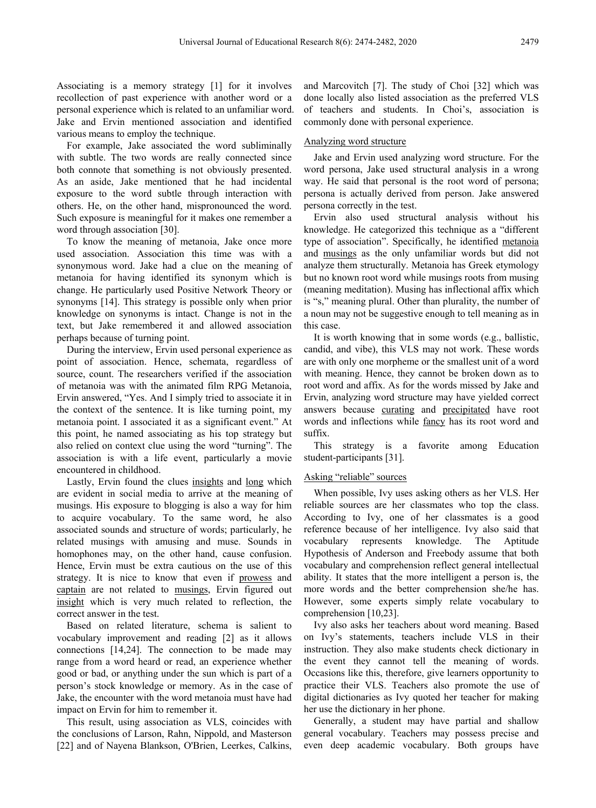Associating is a memory strategy [1] for it involves recollection of past experience with another word or a personal experience which is related to an unfamiliar word. Jake and Ervin mentioned association and identified various means to employ the technique.

For example, Jake associated the word subliminally with subtle. The two words are really connected since both connote that something is not obviously presented. As an aside, Jake mentioned that he had incidental exposure to the word subtle through interaction with others. He, on the other hand, mispronounced the word. Such exposure is meaningful for it makes one remember a word through association [30].

To know the meaning of metanoia, Jake once more used association. Association this time was with a synonymous word. Jake had a clue on the meaning of metanoia for having identified its synonym which is change. He particularly used Positive Network Theory or synonyms [14]. This strategy is possible only when prior knowledge on synonyms is intact. Change is not in the text, but Jake remembered it and allowed association perhaps because of turning point.

During the interview, Ervin used personal experience as point of association. Hence, schemata, regardless of source, count. The researchers verified if the association of metanoia was with the animated film RPG Metanoia, Ervin answered, "Yes. And I simply tried to associate it in the context of the sentence. It is like turning point, my metanoia point. I associated it as a significant event." At this point, he named associating as his top strategy but also relied on context clue using the word "turning". The association is with a life event, particularly a movie encountered in childhood.

Lastly, Ervin found the clues insights and long which are evident in social media to arrive at the meaning of musings. His exposure to blogging is also a way for him to acquire vocabulary. To the same word, he also associated sounds and structure of words; particularly, he related musings with amusing and muse. Sounds in homophones may, on the other hand, cause confusion. Hence, Ervin must be extra cautious on the use of this strategy. It is nice to know that even if prowess and captain are not related to musings, Ervin figured out insight which is very much related to reflection, the correct answer in the test.

Based on related literature, schema is salient to vocabulary improvement and reading [2] as it allows connections [14,24]. The connection to be made may range from a word heard or read, an experience whether good or bad, or anything under the sun which is part of a person's stock knowledge or memory. As in the case of Jake, the encounter with the word metanoia must have had impact on Ervin for him to remember it.

This result, using association as VLS, coincides with the conclusions of Larson, Rahn, Nippold, and Masterson [22] and of Nayena Blankson, O'Brien, Leerkes, Calkins, and Marcovitch [7]. The study of Choi [32] which was done locally also listed association as the preferred VLS of teachers and students. In Choi's, association is commonly done with personal experience.

#### Analyzing word structure

Jake and Ervin used analyzing word structure. For the word persona, Jake used structural analysis in a wrong way. He said that personal is the root word of persona; persona is actually derived from person. Jake answered persona correctly in the test.

Ervin also used structural analysis without his knowledge. He categorized this technique as a "different type of association". Specifically, he identified metanoia and musings as the only unfamiliar words but did not analyze them structurally. Metanoia has Greek etymology but no known root word while musings roots from musing (meaning meditation). Musing has inflectional affix which is "s," meaning plural. Other than plurality, the number of a noun may not be suggestive enough to tell meaning as in this case.

It is worth knowing that in some words (e.g., ballistic, candid, and vibe), this VLS may not work. These words are with only one morpheme or the smallest unit of a word with meaning. Hence, they cannot be broken down as to root word and affix. As for the words missed by Jake and Ervin, analyzing word structure may have yielded correct answers because curating and precipitated have root words and inflections while fancy has its root word and suffix.

This strategy is a favorite among Education student-participants [31].

#### Asking "reliable" sources

When possible, Ivy uses asking others as her VLS. Her reliable sources are her classmates who top the class. According to Ivy, one of her classmates is a good reference because of her intelligence. Ivy also said that vocabulary represents knowledge. The Aptitude Hypothesis of Anderson and Freebody assume that both vocabulary and comprehension reflect general intellectual ability. It states that the more intelligent a person is, the more words and the better comprehension she/he has. However, some experts simply relate vocabulary to comprehension [10,23].

Ivy also asks her teachers about word meaning. Based on Ivy's statements, teachers include VLS in their instruction. They also make students check dictionary in the event they cannot tell the meaning of words. Occasions like this, therefore, give learners opportunity to practice their VLS. Teachers also promote the use of digital dictionaries as Ivy quoted her teacher for making her use the dictionary in her phone.

Generally, a student may have partial and shallow general vocabulary. Teachers may possess precise and even deep academic vocabulary. Both groups have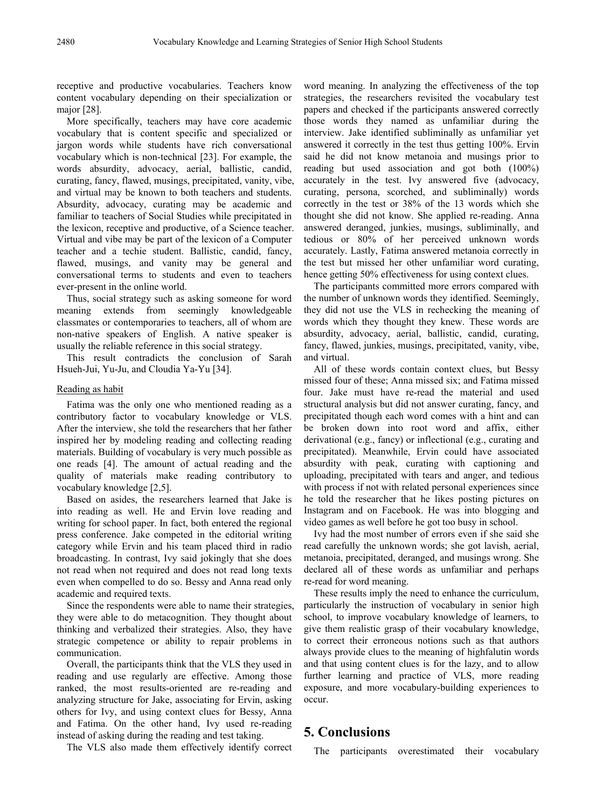receptive and productive vocabularies. Teachers know content vocabulary depending on their specialization or major [28].

More specifically, teachers may have core academic vocabulary that is content specific and specialized or jargon words while students have rich conversational vocabulary which is non-technical [23]. For example, the words absurdity, advocacy, aerial, ballistic, candid, curating, fancy, flawed, musings, precipitated, vanity, vibe, and virtual may be known to both teachers and students. Absurdity, advocacy, curating may be academic and familiar to teachers of Social Studies while precipitated in the lexicon, receptive and productive, of a Science teacher. Virtual and vibe may be part of the lexicon of a Computer teacher and a techie student. Ballistic, candid, fancy, flawed, musings, and vanity may be general and conversational terms to students and even to teachers ever-present in the online world.

Thus, social strategy such as asking someone for word meaning extends from seemingly knowledgeable classmates or contemporaries to teachers, all of whom are non-native speakers of English. A native speaker is usually the reliable reference in this social strategy.

This result contradicts the conclusion of Sarah Hsueh-Jui, Yu-Ju, and Cloudia Ya-Yu [34].

#### Reading as habit

Fatima was the only one who mentioned reading as a contributory factor to vocabulary knowledge or VLS. After the interview, she told the researchers that her father inspired her by modeling reading and collecting reading materials. Building of vocabulary is very much possible as one reads [4]. The amount of actual reading and the quality of materials make reading contributory to vocabulary knowledge [2,5].

Based on asides, the researchers learned that Jake is into reading as well. He and Ervin love reading and writing for school paper. In fact, both entered the regional press conference. Jake competed in the editorial writing category while Ervin and his team placed third in radio broadcasting. In contrast, Ivy said jokingly that she does not read when not required and does not read long texts even when compelled to do so. Bessy and Anna read only academic and required texts.

Since the respondents were able to name their strategies, they were able to do metacognition. They thought about thinking and verbalized their strategies. Also, they have strategic competence or ability to repair problems in communication.

Overall, the participants think that the VLS they used in reading and use regularly are effective. Among those ranked, the most results-oriented are re-reading and analyzing structure for Jake, associating for Ervin, asking others for Ivy, and using context clues for Bessy, Anna and Fatima. On the other hand, Ivy used re-reading instead of asking during the reading and test taking.

The VLS also made them effectively identify correct

word meaning. In analyzing the effectiveness of the top strategies, the researchers revisited the vocabulary test papers and checked if the participants answered correctly those words they named as unfamiliar during the interview. Jake identified subliminally as unfamiliar yet answered it correctly in the test thus getting 100%. Ervin said he did not know metanoia and musings prior to reading but used association and got both (100%) accurately in the test. Ivy answered five (advocacy, curating, persona, scorched, and subliminally) words correctly in the test or 38% of the 13 words which she thought she did not know. She applied re-reading. Anna answered deranged, junkies, musings, subliminally, and tedious or 80% of her perceived unknown words accurately. Lastly, Fatima answered metanoia correctly in the test but missed her other unfamiliar word curating, hence getting 50% effectiveness for using context clues.

The participants committed more errors compared with the number of unknown words they identified. Seemingly, they did not use the VLS in rechecking the meaning of words which they thought they knew. These words are absurdity, advocacy, aerial, ballistic, candid, curating, fancy, flawed, junkies, musings, precipitated, vanity, vibe, and virtual.

All of these words contain context clues, but Bessy missed four of these; Anna missed six; and Fatima missed four. Jake must have re-read the material and used structural analysis but did not answer curating, fancy, and precipitated though each word comes with a hint and can be broken down into root word and affix, either derivational (e.g., fancy) or inflectional (e.g., curating and precipitated). Meanwhile, Ervin could have associated absurdity with peak, curating with captioning and uploading, precipitated with tears and anger, and tedious with process if not with related personal experiences since he told the researcher that he likes posting pictures on Instagram and on Facebook. He was into blogging and video games as well before he got too busy in school.

Ivy had the most number of errors even if she said she read carefully the unknown words; she got lavish, aerial, metanoia, precipitated, deranged, and musings wrong. She declared all of these words as unfamiliar and perhaps re-read for word meaning.

These results imply the need to enhance the curriculum, particularly the instruction of vocabulary in senior high school, to improve vocabulary knowledge of learners, to give them realistic grasp of their vocabulary knowledge, to correct their erroneous notions such as that authors always provide clues to the meaning of highfalutin words and that using content clues is for the lazy, and to allow further learning and practice of VLS, more reading exposure, and more vocabulary-building experiences to occur.

# **5. Conclusions**

The participants overestimated their vocabulary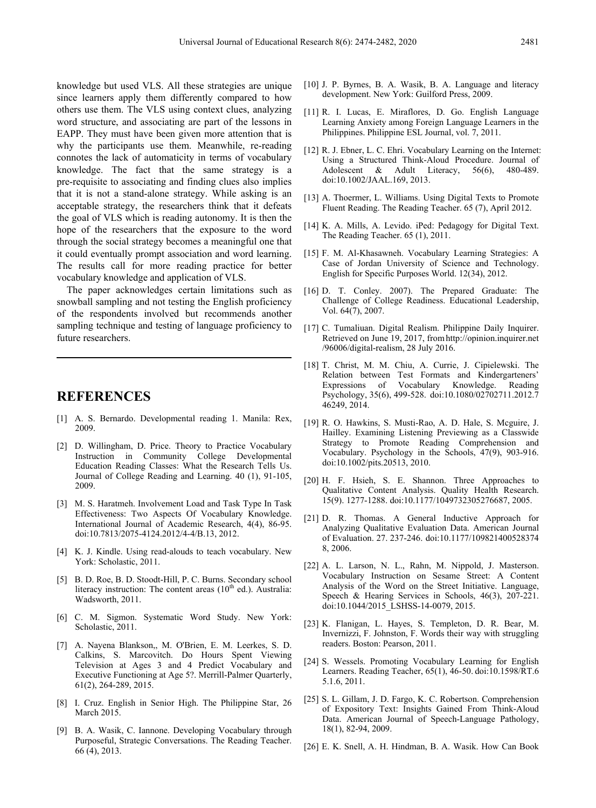knowledge but used VLS. All these strategies are unique since learners apply them differently compared to how others use them. The VLS using context clues, analyzing word structure, and associating are part of the lessons in EAPP. They must have been given more attention that is why the participants use them. Meanwhile, re-reading connotes the lack of automaticity in terms of vocabulary knowledge. The fact that the same strategy is a pre-requisite to associating and finding clues also implies that it is not a stand-alone strategy. While asking is an acceptable strategy, the researchers think that it defeats the goal of VLS which is reading autonomy. It is then the hope of the researchers that the exposure to the word through the social strategy becomes a meaningful one that it could eventually prompt association and word learning. The results call for more reading practice for better vocabulary knowledge and application of VLS.

The paper acknowledges certain limitations such as snowball sampling and not testing the English proficiency of the respondents involved but recommends another sampling technique and testing of language proficiency to future researchers.

### **REFERENCES**

- [1] A. S. Bernardo. Developmental reading 1. Manila: Rex, 2009.
- [2] D. Willingham, D. Price. Theory to Practice Vocabulary Instruction in Community College Developmental Education Reading Classes: What the Research Tells Us. Journal of College Reading and Learning. 40 (1), 91-105, 2009.
- [3] M. S. Haratmeh. Involvement Load and Task Type In Task Effectiveness: Two Aspects Of Vocabulary Knowledge. International Journal of Academic Research, 4(4), 86-95. doi:10.7813/2075-4124.2012/4-4/B.13, 2012.
- [4] K. J. Kindle. Using read-alouds to teach vocabulary. New York: Scholastic, 2011.
- [5] B. D. Roe, B. D. Stoodt-Hill, P. C. Burns. Secondary school literacy instruction: The content areas  $(10<sup>th</sup>$  ed.). Australia: Wadsworth, 2011.
- [6] C. M. Sigmon. Systematic Word Study. New York: Scholastic, 2011.
- [7] A. Nayena Blankson,, M. O'Brien, E. M. Leerkes, S. D. Calkins, S. Marcovitch. Do Hours Spent Viewing Television at Ages 3 and 4 Predict Vocabulary and Executive Functioning at Age 5?. Merrill-Palmer Quarterly, 61(2), 264-289, 2015.
- [8] I. Cruz. English in Senior High. The Philippine Star, 26 March 2015.
- [9] B. A. Wasik, C. Iannone. Developing Vocabulary through Purposeful, Strategic Conversations. The Reading Teacher. 66 (4), 2013.
- [10] J. P. Byrnes, B. A. Wasik, B. A. Language and literacy development. New York: Guilford Press, 2009.
- [11] R. I. Lucas, E. Miraflores, D. Go. English Language Learning Anxiety among Foreign Language Learners in the Philippines. Philippine ESL Journal, vol. 7, 2011.
- [12] R. J. Ebner, L. C. Ehri. Vocabulary Learning on the Internet: Using a Structured Think-Aloud Procedure. Journal of Adolescent & Adult Literacy, 56(6), 480-489. doi:10.1002/JAAL.169, 2013.
- [13] A. Thoermer, L. Williams. Using Digital Texts to Promote Fluent Reading. The Reading Teacher. 65 (7), April 2012.
- [14] K. A. Mills, A. Levido. iPed: Pedagogy for Digital Text. The Reading Teacher. 65 (1), 2011.
- [15] F. M. Al-Khasawneh. Vocabulary Learning Strategies: A Case of Jordan University of Science and Technology. English for Specific Purposes World. 12(34), 2012.
- [16] D. T. Conley. 2007). The Prepared Graduate: The Challenge of College Readiness. Educational Leadership, Vol. 64(7), 2007.
- [17] C. Tumaliuan. Digital Realism. Philippine Daily Inquirer. Retrieved on June 19, 2017, fromhttp://opinion.inquirer.net /96006/digital-realism, 28 July 2016.
- [18] T. Christ, M. M. Chiu, A. Currie, J. Cipielewski. The Relation between Test Formats and Kindergarteners' Expressions of Vocabulary Knowledge. Reading Psychology, 35(6), 499-528. doi:10.1080/02702711.2012.7 46249, 2014.
- [19] R. O. Hawkins, S. Musti-Rao, A. D. Hale, S. Mcguire, J. Hailley. Examining Listening Previewing as a Classwide Strategy to Promote Reading Comprehension and Vocabulary. Psychology in the Schools, 47(9), 903-916. doi:10.1002/pits.20513, 2010.
- [20] H. F. Hsieh, S. E. Shannon. Three Approaches to Qualitative Content Analysis. Quality Health Research. 15(9). 1277-1288. doi:10.1177/1049732305276687, 2005.
- [21] D. R. Thomas. A General Inductive Approach for Analyzing Qualitative Evaluation Data. American Journal of Evaluation. 27. 237-246. doi:10.1177/109821400528374 8, 2006.
- [22] A. L. Larson, N. L., Rahn, M. Nippold, J. Masterson. Vocabulary Instruction on Sesame Street: A Content Analysis of the Word on the Street Initiative. Language, Speech & Hearing Services in Schools, 46(3), 207-221. doi:10.1044/2015\_LSHSS-14-0079, 2015.
- [23] K. Flanigan, L. Hayes, S. Templeton, D. R. Bear, M. Invernizzi, F. Johnston, F. Words their way with struggling readers. Boston: Pearson, 2011.
- [24] S. Wessels. Promoting Vocabulary Learning for English Learners. Reading Teacher, 65(1), 46-50. doi:10.1598/RT.6 5.1.6, 2011.
- [25] S. L. Gillam, J. D. Fargo, K. C. Robertson. Comprehension of Expository Text: Insights Gained From Think-Aloud Data. American Journal of Speech-Language Pathology, 18(1), 82-94, 2009.
- [26] E. K. Snell, A. H. Hindman, B. A. Wasik. How Can Book